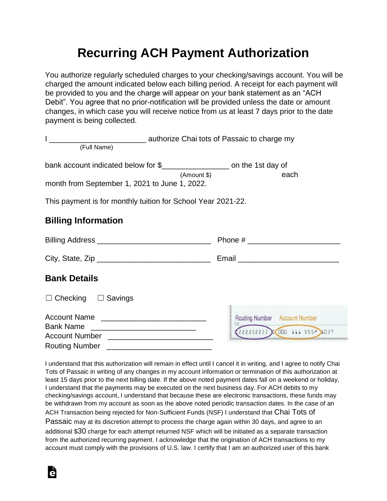## **Recurring ACH Payment Authorization**

You authorize regularly scheduled charges to your checking/savings account. You will be charged the amount indicated below each billing period. A receipt for each payment will be provided to you and the charge will appear on your bank statement as an "ACH Debit". You agree that no prior-notification will be provided unless the date or amount changes, in which case you will receive notice from us at least 7 days prior to the date payment is being collected.

| (Full Name)                                                                  |                               |  |  |  |
|------------------------------------------------------------------------------|-------------------------------|--|--|--|
| bank account indicated below for \$_______________________ on the 1st day of |                               |  |  |  |
| (Amount \$)<br>month from September 1, 2021 to June 1, 2022.                 | each                          |  |  |  |
| This payment is for monthly tuition for School Year 2021-22.                 |                               |  |  |  |
| <b>Billing Information</b>                                                   |                               |  |  |  |
|                                                                              |                               |  |  |  |
|                                                                              |                               |  |  |  |
| <b>Bank Details</b>                                                          |                               |  |  |  |
| $\Box$ Checking $\Box$ Savings                                               |                               |  |  |  |
|                                                                              | Routing Number Account Number |  |  |  |
| Account Number <u>______________________</u>                                 | 1027 11 555 111 5555 1027     |  |  |  |
| <b>Routing Number</b>                                                        |                               |  |  |  |

I understand that this authorization will remain in effect until I cancel it in writing, and I agree to notify Chai Tots of Passaic in writing of any changes in my account information or termination of this authorization at least 15 days prior to the next billing date. If the above noted payment dates fall on a weekend or holiday, I understand that the payments may be executed on the next business day. For ACH debits to my checking/savings account, I understand that because these are electronic transactions, these funds may be withdrawn from my account as soon as the above noted periodic transaction dates. In the case of an ACH Transaction being rejected for Non-Sufficient Funds (NSF) I understand that Chai Tots of

Passaic may at its discretion attempt to process the charge again within 30 days, and agree to an additional \$30 charge for each attempt returned NSF which will be initiated as a separate transaction from the authorized recurring payment. I acknowledge that the origination of ACH transactions to my account must comply with the provisions of U.S. law. I certify that I am an authorized user of this bank